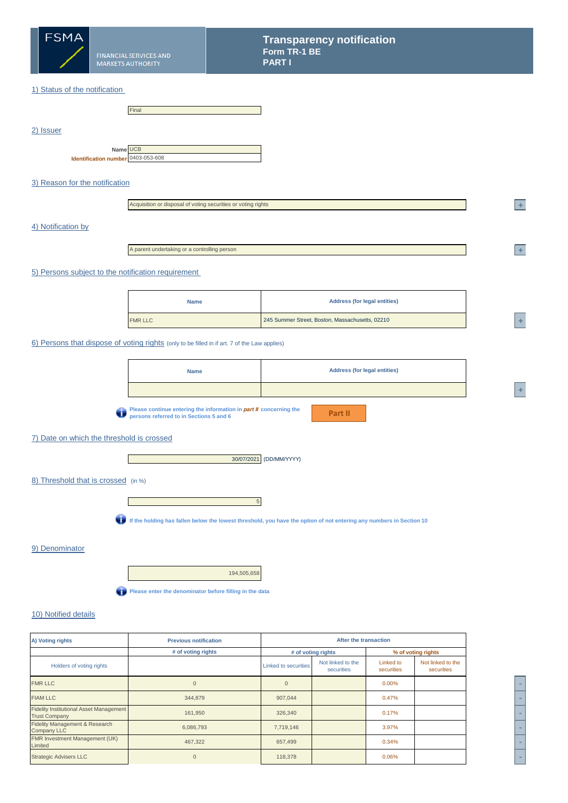

2) Issuer

### 1) Status of the notification

|                                                | Final |
|------------------------------------------------|-------|
|                                                |       |
|                                                |       |
|                                                |       |
| Name UCB<br>Identification number 0403-053-608 |       |

### 3) Reason for the notification

| Acquisition or disposal of voting securities or voting rights |
|---------------------------------------------------------------|
|                                                               |

#### 4) Notification by

A parent undertaking or a controlling person

#### 5) Persons subject to the notification requirement

| <b>Name</b>    | <b>Address (for legal entities)</b>             |  |
|----------------|-------------------------------------------------|--|
| <b>FMR LLC</b> | 245 Summer Street, Boston, Massachusetts, 02210 |  |

#### 6) Persons that dispose of voting rights (only to be filled in if art. 7 of the Law applies)

| <b>Name</b>                                                                  | <b>Address (for legal entities)</b> |  |
|------------------------------------------------------------------------------|-------------------------------------|--|
|                                                                              |                                     |  |
| <b>No Please continue entering the information in part II concerning the</b> |                                     |  |

**Please continue entering the information in** *part II* **concerning the persons referred to in Sections 5 and 6**

**Part II**

# 7) Date on which the threshold is crossed

**I** and



#### 8) Threshold that is crossed (in %)



**If the holding has fallen below the lowest threshold, you have the option of not entering any numbers in Section 10**

#### 9) Denominator

194,505,658

**Please enter the denominator before filling in the data** 

### 10) Notified details

| A) Voting rights                                                       | <b>Previous notification</b> |                             | After the transaction           |                         |                                 |  |
|------------------------------------------------------------------------|------------------------------|-----------------------------|---------------------------------|-------------------------|---------------------------------|--|
|                                                                        | # of voting rights           |                             | # of voting rights              |                         | % of voting rights              |  |
| Holders of voting rights                                               |                              | <b>Linked to securities</b> | Not linked to the<br>securities | Linked to<br>securities | Not linked to the<br>securities |  |
| <b>FMR LLC</b>                                                         | $\Omega$                     | $\Omega$                    |                                 | $0.00\%$                |                                 |  |
| <b>FIAM LLC</b>                                                        | 344,879                      | 907,044                     |                                 | 0.47%                   |                                 |  |
| <b>Fidelity Institutional Asset Management</b><br><b>Trust Company</b> | 161,950                      | 326,340                     |                                 | 0.17%                   |                                 |  |
| Fidelity Management & Research<br><b>Company LLC</b>                   | 6,086,793                    | 7,719,146                   |                                 | 3.97%                   |                                 |  |
| FMR Investment Management (UK)<br>Limited                              | 467,322                      | 657,499                     |                                 | 0.34%                   |                                 |  |
| <b>Strategic Advisers LLC</b>                                          |                              | 118,378                     |                                 | 0.06%                   |                                 |  |



**<sup>2</sup> +** 

**<sup>2</sup> +** 

**<sup>A</sup> +**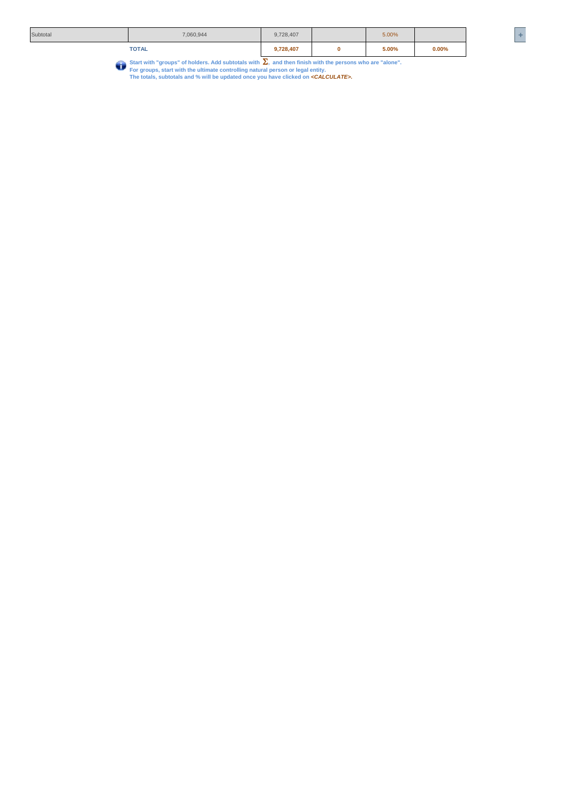|          |              | −         |       |       |    |
|----------|--------------|-----------|-------|-------|----|
|          | <b>TOTAL</b> | 9,728,407 | 5.00% | 0.00% |    |
| Subtotal | 7,060,944    | 9,728,407 | 5.00% |       | __ |

Start with "groups" of holders. Add subtotals with  $\sum$ , and then finish with the persons who are "alone".<br>For groups, start with the ultimate controlling natural person or legal entity.<br>The totals, subtotals and % will b